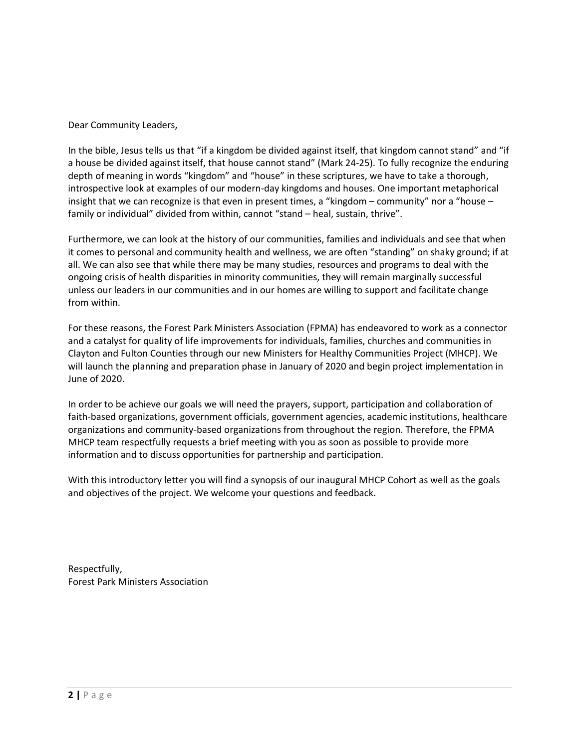Dear Community Leaders,

In the bible, Jesus tells us that "if a kingdom be divided against itself, that kingdom cannot stand" and "if a house be divided against itself, that house cannot stand" (Mark 24-25). To fully recognize the enduring depth of meaning in words "kingdom" and "house" in these scriptures, we have to take a thorough, introspective look at examples of our modern-day kingdoms and houses. One important metaphorical insight that we can recognize is that even in present times, a "kingdom – community" nor a "house – family or individual" divided from within, cannot "stand – heal, sustain, thrive".

Furthermore, we can look at the history of our communities, families and individuals and see that when it comes to personal and community health and wellness, we are often "standing" on shaky ground; if at all. We can also see that while there may be many studies, resources and programs to deal with the ongoing crisis of health disparities in minority communities, they will remain marginally successful unless our leaders in our communities and in our homes are willing to support and facilitate change from within.

For these reasons, the Forest Park Ministers Association (FPMA) has endeavored to work as a connector and a catalyst for quality of life improvements for individuals, families, churches and communities in Clayton and Fulton Counties through our new Ministers for Healthy Communities Project (MHCP). We will launch the planning and preparation phase in January of 2020 and begin project implementation in June of 2020.

In order to be achieve our goals we will need the prayers, support, participation and collaboration of faith-based organizations, government officials, government agencies, academic institutions, healthcare organizations and community-based organizations from throughout the region. Therefore, the FPMA MHCP team respectfully requests a brief meeting with you as soon as possible to provide more information and to discuss opportunities for partnership and participation.

With this introductory letter you will find a synopsis of our inaugural MHCP Cohort as well as the goals and objectives of the project. We welcome your questions and feedback.

Respectfully, Forest Park Ministers Association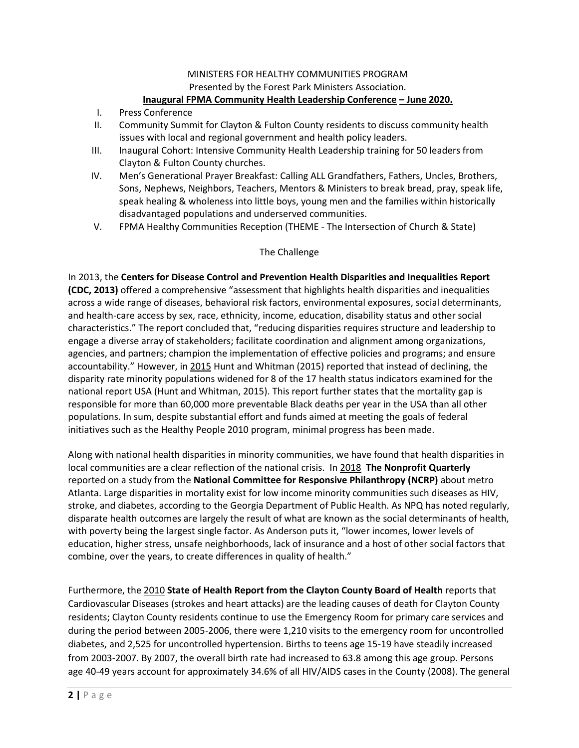# MINISTERS FOR HEALTHY COMMUNITIES PROGRAM Presented by the Forest Park Ministers Association.

## **Inaugural FPMA Community Health Leadership Conference – June 2020.**

- I. Press Conference
- II. Community Summit for Clayton & Fulton County residents to discuss community health issues with local and regional government and health policy leaders.
- III. Inaugural Cohort: Intensive Community Health Leadership training for 50 leaders from Clayton & Fulton County churches.
- IV. Men's Generational Prayer Breakfast: Calling ALL Grandfathers, Fathers, Uncles, Brothers, Sons, Nephews, Neighbors, Teachers, Mentors & Ministers to break bread, pray, speak life, speak healing & wholeness into little boys, young men and the families within historically disadvantaged populations and underserved communities.
- V. FPMA Healthy Communities Reception (THEME The Intersection of Church & State)

### The Challenge

In 2013, the **Centers for Disease Control and Prevention Health Disparities and Inequalities Report (CDC, 2013)** offered a comprehensive "assessment that highlights health disparities and inequalities across a wide range of diseases, behavioral risk factors, environmental exposures, social determinants, and health-care access by sex, race, ethnicity, income, education, disability status and other social characteristics." The report concluded that, "reducing disparities requires structure and leadership to engage a diverse array of stakeholders; facilitate coordination and alignment among organizations, agencies, and partners; champion the implementation of effective policies and programs; and ensure accountability." However, in 2015 Hunt and Whitman (2015) reported that instead of declining, the disparity rate minority populations widened for 8 of the 17 health status indicators examined for the national report USA (Hunt and Whitman, 2015). This report further states that the mortality gap is responsible for more than 60,000 more preventable Black deaths per year in the USA than all other populations. In sum, despite substantial effort and funds aimed at meeting the goals of federal initiatives such as the Healthy People 2010 program, minimal progress has been made.

Along with national health disparities in minority communities, we have found that health disparities in local communities are a clear reflection of the national crisis. In 2018 **The Nonprofit Quarterly** reported on a [study](about:blank) from the **[National Committee for Responsive Philanthropy](about:blank) (NCRP)** about metro Atlanta. Large disparities in mortality exist for low income minority communities such diseases as HIV, stroke, and diabetes, according to the [Georgia Department of Public Health.](about:blank) As NPQ has noted regularly, disparate health outcomes are largely the result of what are known as the [social determinants](about:blank) of health, with poverty being the largest single factor. As Anderson puts it, "lower incomes, lower levels of education, higher stress, unsafe neighborhoods, lack of insurance and a host of other social factors that combine, over the years, to create differences in quality of health."

Furthermore, the 2010 **State of Health Report from the Clayton County Board of Health** reports that Cardiovascular Diseases (strokes and heart attacks) are the leading causes of death for Clayton County residents; Clayton County residents continue to use the Emergency Room for primary care services and during the period between 2005-2006, there were 1,210 visits to the emergency room for uncontrolled diabetes, and 2,525 for uncontrolled hypertension. Births to teens age 15-19 have steadily increased from 2003-2007. By 2007, the overall birth rate had increased to 63.8 among this age group. Persons age 40-49 years account for approximately 34.6% of all HIV/AIDS cases in the County (2008). The general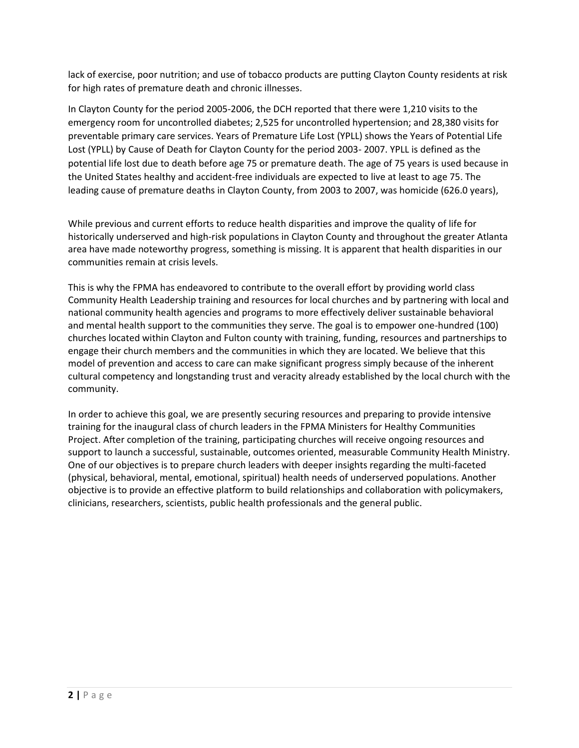lack of exercise, poor nutrition; and use of tobacco products are putting Clayton County residents at risk for high rates of premature death and chronic illnesses.

In Clayton County for the period 2005-2006, the DCH reported that there were 1,210 visits to the emergency room for uncontrolled diabetes; 2,525 for uncontrolled hypertension; and 28,380 visits for preventable primary care services. Years of Premature Life Lost (YPLL) shows the Years of Potential Life Lost (YPLL) by Cause of Death for Clayton County for the period 2003- 2007. YPLL is defined as the potential life lost due to death before age 75 or premature death. The age of 75 years is used because in the United States healthy and accident-free individuals are expected to live at least to age 75. The leading cause of premature deaths in Clayton County, from 2003 to 2007, was homicide (626.0 years),

While previous and current efforts to reduce health disparities and improve the quality of life for historically underserved and high-risk populations in Clayton County and throughout the greater Atlanta area have made noteworthy progress, something is missing. It is apparent that health disparities in our communities remain at crisis levels.

This is why the FPMA has endeavored to contribute to the overall effort by providing world class Community Health Leadership training and resources for local churches and by partnering with local and national community health agencies and programs to more effectively deliver sustainable behavioral and mental health support to the communities they serve. The goal is to empower one-hundred (100) churches located within Clayton and Fulton county with training, funding, resources and partnerships to engage their church members and the communities in which they are located. We believe that this model of prevention and access to care can make significant progress simply because of the inherent cultural competency and longstanding trust and veracity already established by the local church with the community.

In order to achieve this goal, we are presently securing resources and preparing to provide intensive training for the inaugural class of church leaders in the FPMA Ministers for Healthy Communities Project. After completion of the training, participating churches will receive ongoing resources and support to launch a successful, sustainable, outcomes oriented, measurable Community Health Ministry. One of our objectives is to prepare church leaders with deeper insights regarding the multi-faceted (physical, behavioral, mental, emotional, spiritual) health needs of underserved populations. Another objective is to provide an effective platform to build relationships and collaboration with policymakers, clinicians, researchers, scientists, public health professionals and the general public.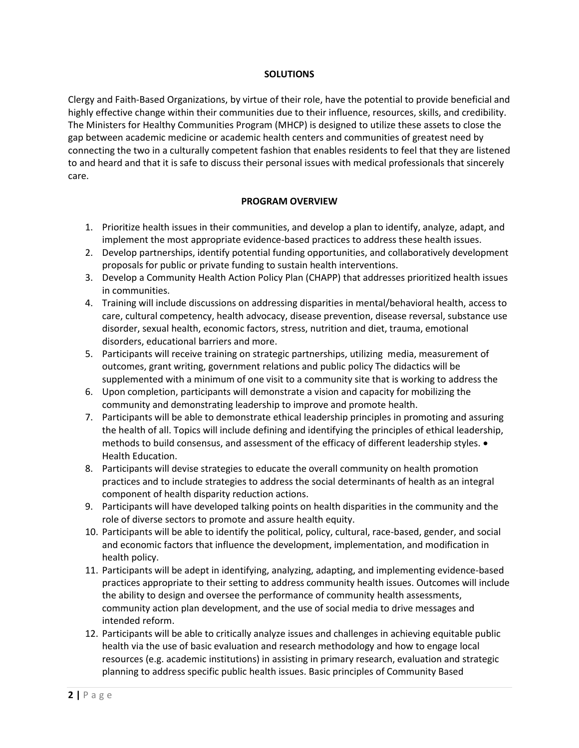#### **SOLUTIONS**

Clergy and Faith-Based Organizations, by virtue of their role, have the potential to provide beneficial and highly effective change within their communities due to their influence, resources, skills, and credibility. The Ministers for Healthy Communities Program (MHCP) is designed to utilize these assets to close the gap between academic medicine or academic health centers and communities of greatest need by connecting the two in a culturally competent fashion that enables residents to feel that they are listened to and heard and that it is safe to discuss their personal issues with medical professionals that sincerely care.

### **PROGRAM OVERVIEW**

- 1. Prioritize health issues in their communities, and develop a plan to identify, analyze, adapt, and implement the most appropriate evidence-based practices to address these health issues.
- 2. Develop partnerships, identify potential funding opportunities, and collaboratively development proposals for public or private funding to sustain health interventions.
- 3. Develop a Community Health Action Policy Plan (CHAPP) that addresses prioritized health issues in communities.
- 4. Training will include discussions on addressing disparities in mental/behavioral health, access to care, cultural competency, health advocacy, disease prevention, disease reversal, substance use disorder, sexual health, economic factors, stress, nutrition and diet, trauma, emotional disorders, educational barriers and more.
- 5. Participants will receive training on strategic partnerships, utilizing media, measurement of outcomes, grant writing, government relations and public policy The didactics will be supplemented with a minimum of one visit to a community site that is working to address the
- 6. Upon completion, participants will demonstrate a vision and capacity for mobilizing the community and demonstrating leadership to improve and promote health.
- 7. Participants will be able to demonstrate ethical leadership principles in promoting and assuring the health of all. Topics will include defining and identifying the principles of ethical leadership, methods to build consensus, and assessment of the efficacy of different leadership styles.  $\bullet$ Health Education.
- 8. Participants will devise strategies to educate the overall community on health promotion practices and to include strategies to address the social determinants of health as an integral component of health disparity reduction actions.
- 9. Participants will have developed talking points on health disparities in the community and the role of diverse sectors to promote and assure health equity.
- 10. Participants will be able to identify the political, policy, cultural, race-based, gender, and social and economic factors that influence the development, implementation, and modification in health policy.
- 11. Participants will be adept in identifying, analyzing, adapting, and implementing evidence-based practices appropriate to their setting to address community health issues. Outcomes will include the ability to design and oversee the performance of community health assessments, community action plan development, and the use of social media to drive messages and intended reform.
- 12. Participants will be able to critically analyze issues and challenges in achieving equitable public health via the use of basic evaluation and research methodology and how to engage local resources (e.g. academic institutions) in assisting in primary research, evaluation and strategic planning to address specific public health issues. Basic principles of Community Based